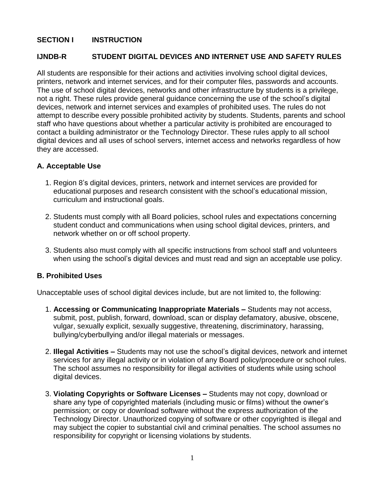## **SECTION I INSTRUCTION**

#### **IJNDB-R STUDENT DIGITAL DEVICES AND INTERNET USE AND SAFETY RULES**

All students are responsible for their actions and activities involving school digital devices, printers, network and internet services, and for their computer files, passwords and accounts. The use of school digital devices, networks and other infrastructure by students is a privilege, not a right. These rules provide general guidance concerning the use of the school's digital devices, network and internet services and examples of prohibited uses. The rules do not attempt to describe every possible prohibited activity by students. Students, parents and school staff who have questions about whether a particular activity is prohibited are encouraged to contact a building administrator or the Technology Director. These rules apply to all school digital devices and all uses of school servers, internet access and networks regardless of how they are accessed.

#### **A. Acceptable Use**

- 1. Region 8's digital devices, printers, network and internet services are provided for educational purposes and research consistent with the school's educational mission, curriculum and instructional goals.
- 2. Students must comply with all Board policies, school rules and expectations concerning student conduct and communications when using school digital devices, printers, and network whether on or off school property.
- 3. Students also must comply with all specific instructions from school staff and volunteers when using the school's digital devices and must read and sign an acceptable use policy.

# **B. Prohibited Uses**

Unacceptable uses of school digital devices include, but are not limited to, the following:

- 1. **Accessing or Communicating Inappropriate Materials –** Students may not access, submit, post, publish, forward, download, scan or display defamatory, abusive, obscene, vulgar, sexually explicit, sexually suggestive, threatening, discriminatory, harassing, bullying/cyberbullying and/or illegal materials or messages.
- 2. **Illegal Activities –** Students may not use the school's digital devices, network and internet services for any illegal activity or in violation of any Board policy/procedure or school rules. The school assumes no responsibility for illegal activities of students while using school digital devices.
- 3. **Violating Copyrights or Software Licenses –** Students may not copy, download or share any type of copyrighted materials (including music or films) without the owner's permission; or copy or download software without the express authorization of the Technology Director. Unauthorized copying of software or other copyrighted is illegal and may subject the copier to substantial civil and criminal penalties. The school assumes no responsibility for copyright or licensing violations by students.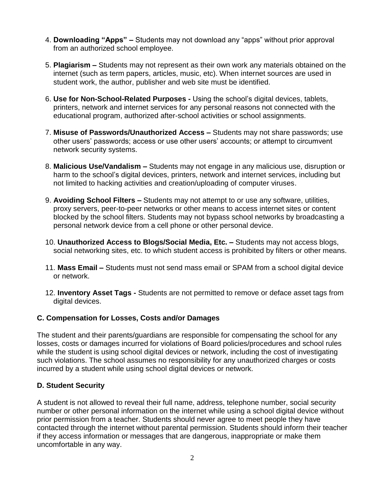- 4. **Downloading "Apps" –** Students may not download any "apps" without prior approval from an authorized school employee.
- 5. **Plagiarism –** Students may not represent as their own work any materials obtained on the internet (such as term papers, articles, music, etc). When internet sources are used in student work, the author, publisher and web site must be identified.
- 6. **Use for Non-School-Related Purposes -** Using the school's digital devices, tablets, printers, network and internet services for any personal reasons not connected with the educational program, authorized after-school activities or school assignments.
- 7. **Misuse of Passwords/Unauthorized Access –** Students may not share passwords; use other users' passwords; access or use other users' accounts; or attempt to circumvent network security systems.
- 8. **Malicious Use/Vandalism –** Students may not engage in any malicious use, disruption or harm to the school's digital devices, printers, network and internet services, including but not limited to hacking activities and creation/uploading of computer viruses.
- 9. **Avoiding School Filters –** Students may not attempt to or use any software, utilities, proxy servers, peer-to-peer networks or other means to access internet sites or content blocked by the school filters. Students may not bypass school networks by broadcasting a personal network device from a cell phone or other personal device.
- 10. **Unauthorized Access to Blogs/Social Media, Etc. –** Students may not access blogs, social networking sites, etc. to which student access is prohibited by filters or other means.
- 11. **Mass Email –** Students must not send mass email or SPAM from a school digital device or network.
- 12. **Inventory Asset Tags -** Students are not permitted to remove or deface asset tags from digital devices.

# **C. Compensation for Losses, Costs and/or Damages**

The student and their parents/guardians are responsible for compensating the school for any losses, costs or damages incurred for violations of Board policies/procedures and school rules while the student is using school digital devices or network, including the cost of investigating such violations. The school assumes no responsibility for any unauthorized charges or costs incurred by a student while using school digital devices or network.

# **D. Student Security**

A student is not allowed to reveal their full name, address, telephone number, social security number or other personal information on the internet while using a school digital device without prior permission from a teacher. Students should never agree to meet people they have contacted through the internet without parental permission. Students should inform their teacher if they access information or messages that are dangerous, inappropriate or make them uncomfortable in any way.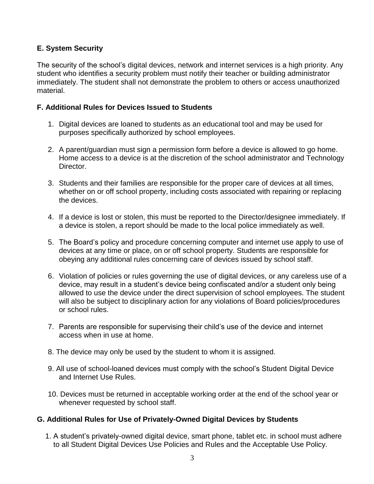# **E. System Security**

The security of the school's digital devices, network and internet services is a high priority. Any student who identifies a security problem must notify their teacher or building administrator immediately. The student shall not demonstrate the problem to others or access unauthorized material.

# **F. Additional Rules for Devices Issued to Students**

- 1. Digital devices are loaned to students as an educational tool and may be used for purposes specifically authorized by school employees.
- 2. A parent/guardian must sign a permission form before a device is allowed to go home. Home access to a device is at the discretion of the school administrator and Technology Director.
- 3. Students and their families are responsible for the proper care of devices at all times, whether on or off school property, including costs associated with repairing or replacing the devices.
- 4. If a device is lost or stolen, this must be reported to the Director/designee immediately. If a device is stolen, a report should be made to the local police immediately as well.
- 5. The Board's policy and procedure concerning computer and internet use apply to use of devices at any time or place, on or off school property. Students are responsible for obeying any additional rules concerning care of devices issued by school staff.
- 6. Violation of policies or rules governing the use of digital devices, or any careless use of a device, may result in a student's device being confiscated and/or a student only being allowed to use the device under the direct supervision of school employees. The student will also be subject to disciplinary action for any violations of Board policies/procedures or school rules.
- 7. Parents are responsible for supervising their child's use of the device and internet access when in use at home.
- 8. The device may only be used by the student to whom it is assigned.
- 9. All use of school-loaned devices must comply with the school's Student Digital Device and Internet Use Rules.
- 10. Devices must be returned in acceptable working order at the end of the school year or whenever requested by school staff.

# **G. Additional Rules for Use of Privately-Owned Digital Devices by Students**

1. A student's privately-owned digital device, smart phone, tablet etc. in school must adhere to all Student Digital Devices Use Policies and Rules and the Acceptable Use Policy.